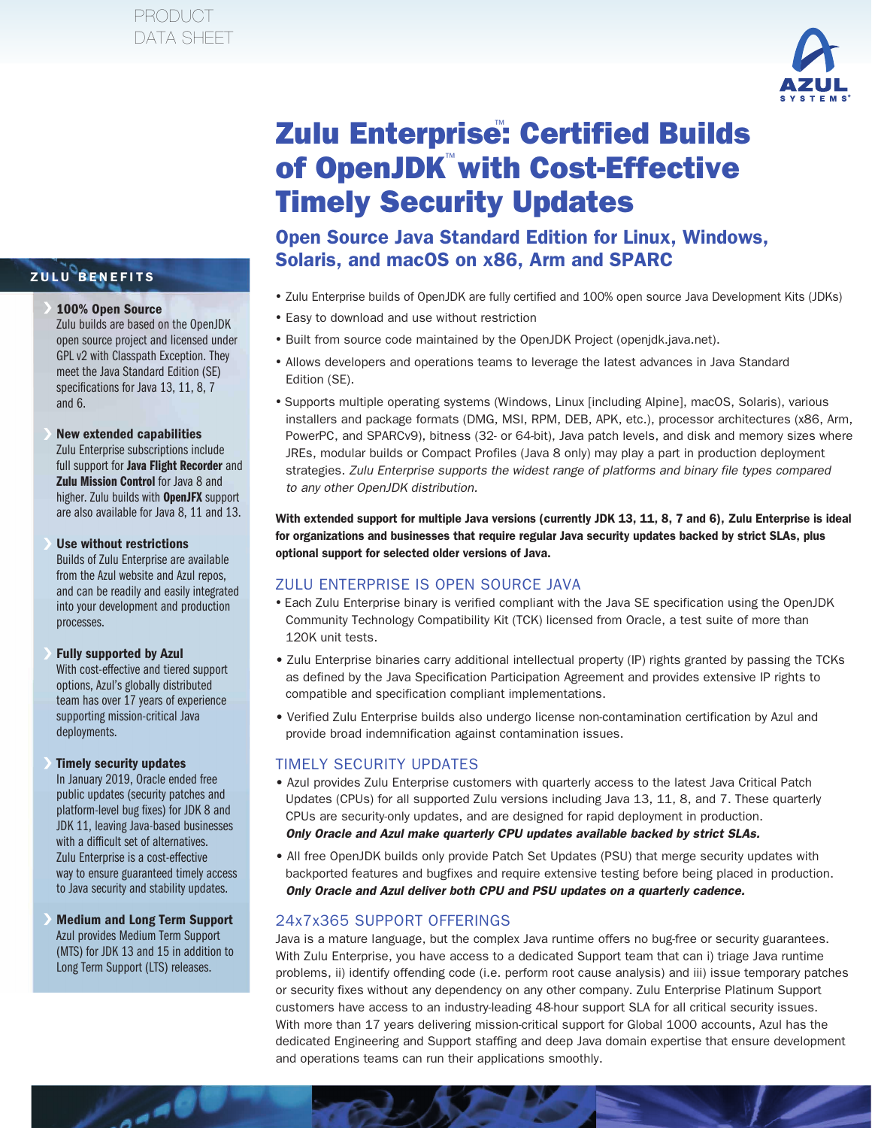

# Zulu Enterprise: Certified Builds of OpenJDK"with Cost-Effective Timely Security Updates

Open Source Java Standard Edition for Linux, Windows, Solaris, and macOS on x86, Arm and SPARC

- Zulu Enterprise builds of OpenJDK are fully certified and 100% open source Java Development Kits (JDKs)
- Easy to download and use without restriction
- Built from source code maintained by the OpenJDK Project (openjdk.java.net).
- Allows developers and operations teams to leverage the latest advances in Java Standard Edition (SE).
- Supports multiple operating systems (Windows, Linux [including Alpine], macOS, Solaris), various installers and package formats (DMG, MSI, RPM, DEB, APK, etc.), processor architectures (x86, Arm, PowerPC, and SPARCv9), bitness (32- or 64-bit), Java patch levels, and disk and memory sizes where JREs, modular builds or Compact Profiles (Java 8 only) may play a part in production deployment strategies. *Zulu Enterprise supports the widest range of platforms and binary file types compared to any other OpenJDK distribution.*

With extended support for multiple Java versions (currently JDK 13, 11, 8, 7 and 6), Zulu Enterprise is ideal for organizations and businesses that require regular Java security updates backed by strict SLAs, plus optional support for selected older versions of Java.

#### ZULU ENTERPRISE IS OPEN SOURCE JAVA

- Each Zulu Enterprise binary is verified compliant with the Java SE specification using the OpenJDK Community Technology Compatibility Kit (TCK) licensed from Oracle, a test suite of more than 120K unit tests.
- Zulu Enterprise binaries carry additional intellectual property (IP) rights granted by passing the TCKs as defined by the Java Specification Participation Agreement and provides extensive IP rights to compatible and specification compliant implementations.
- Verified Zulu Enterprise builds also undergo license non-contamination certification by Azul and provide broad indemnification against contamination issues.

#### TIMELY SECURITY UPDATES

- Azul provides Zulu Enterprise customers with quarterly access to the latest Java Critical Patch Updates (CPUs) for all supported Zulu versions including Java 13, 11, 8, and 7. These quarterly CPUs are security-only updates, and are designed for rapid deployment in production.  *Only Oracle and Azul make quarterly CPU updates available backed by strict SLAs.*
- All free OpenJDK builds only provide Patch Set Updates (PSU) that merge security updates with backported features and bugfixes and require extensive testing before being placed in production.  *Only Oracle and Azul deliver both CPU and PSU updates on a quarterly cadence.*

#### 24x7x365 SUPPORT OFFERINGS

Java is a mature language, but the complex Java runtime offers no bug-free or security guarantees. With Zulu Enterprise, you have access to a dedicated Support team that can i) triage Java runtime problems, ii) identify offending code (i.e. perform root cause analysis) and iii) issue temporary patches or security fixes without any dependency on any other company. Zulu Enterprise Platinum Support customers have access to an industry-leading 48-hour support SLA for all critical security issues. With more than 17 years delivering mission-critical support for Global 1000 accounts, Azul has the dedicated Engineering and Support staffing and deep Java domain expertise that ensure development and operations teams can run their applications smoothly.

## ZULU<sup>O</sup>BENEFITS

#### 100% Open Source

Zulu builds are based on the OpenJDK open source project and licensed under GPL v2 with Classpath Exception. They meet the Java Standard Edition (SE) specifications for Java 13, 11, 8, 7 and 6.

New extended capabilities

Zulu Enterprise subscriptions include full support for **Java Flight Recorder** and **Zulu Mission Control** for Java 8 and higher. Zulu builds with OpenJFX support are also available for Java 8, 11 and 13.

Use without restrictions Builds of Zulu Enterprise are available from the Azul website and Azul repos, and can be readily and easily integrated into your development and production processes.

Fully supported by Azul

With cost-effective and tiered support options, Azul's globally distributed team has over 17 years of experience supporting mission-critical Java deployments.

#### Timely security updates

In January 2019, Oracle ended free public updates (security patches and platform-level bug fixes) for JDK 8 and JDK 11, leaving Java-based businesses with a difficult set of alternatives. Zulu Enterprise is a cost-effective way to ensure guaranteed timely access to Java security and stability updates.

Medium and Long Term Support Azul provides Medium Term Support (MTS) for JDK 13 and 15 in addition to Long Term Support (LTS) releases.

اممه